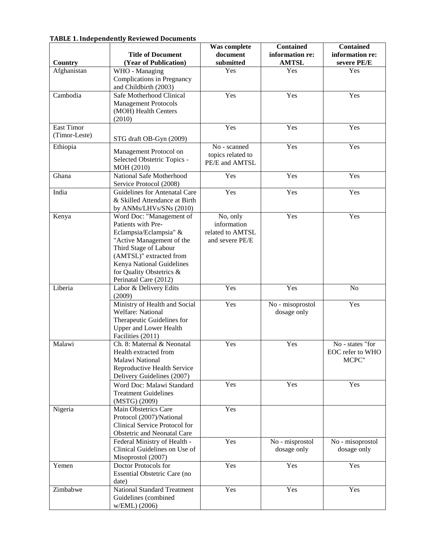## **TABLE 1. Independently Reviewed Documents**

|                   | <b>Title of Document</b>                                 | Was complete<br>document | <b>Contained</b><br>information re: | <b>Contained</b><br>information re:  |
|-------------------|----------------------------------------------------------|--------------------------|-------------------------------------|--------------------------------------|
| Country           | (Year of Publication)                                    | submitted                | <b>AMTSL</b>                        | severe PE/E                          |
| Afghanistan       | WHO - Managing                                           | Yes                      | Yes                                 | Yes                                  |
|                   | Complications in Pregnancy                               |                          |                                     |                                      |
|                   | and Childbirth (2003)                                    |                          |                                     |                                      |
| Cambodia          | Safe Motherhood Clinical                                 | Yes                      | Yes                                 | Yes                                  |
|                   | <b>Management Protocols</b>                              |                          |                                     |                                      |
|                   | (MOH) Health Centers                                     |                          |                                     |                                      |
|                   | (2010)                                                   |                          |                                     |                                      |
| <b>East Timor</b> |                                                          | Yes                      | Yes                                 | Yes                                  |
| (Timor-Leste)     | STG draft OB-Gyn (2009)                                  |                          |                                     |                                      |
| Ethiopia          |                                                          | No - scanned             | Yes                                 | Yes                                  |
|                   | Management Protocol on                                   | topics related to        |                                     |                                      |
|                   | Selected Obstetric Topics -                              | PE/E and AMTSL           |                                     |                                      |
|                   | MOH (2010)                                               |                          |                                     |                                      |
| Ghana             | National Safe Motherhood                                 | Yes                      | Yes                                 | Yes                                  |
| India             | Service Protocol (2008)<br>Guidelines for Antenatal Care | Yes                      | Yes                                 | Yes                                  |
|                   | & Skilled Attendance at Birth                            |                          |                                     |                                      |
|                   | by ANMs/LHVs/SNs (2010)                                  |                          |                                     |                                      |
| Kenya             | Word Doc: "Management of                                 | No, only                 | Yes                                 | Yes                                  |
|                   | Patients with Pre-                                       | information              |                                     |                                      |
|                   | Eclampsia/Eclampsia" &                                   | related to AMTSL         |                                     |                                      |
|                   | "Active Management of the                                | and severe PE/E          |                                     |                                      |
|                   | Third Stage of Labour                                    |                          |                                     |                                      |
|                   | (AMTSL)" extracted from                                  |                          |                                     |                                      |
|                   | Kenya National Guidelines                                |                          |                                     |                                      |
|                   | for Quality Obstetrics &                                 |                          |                                     |                                      |
|                   | Perinatal Care (2012)                                    |                          |                                     |                                      |
| Liberia           | Labor & Delivery Edits                                   | Yes                      | Yes                                 | N <sub>o</sub>                       |
|                   | (2009)                                                   |                          |                                     |                                      |
|                   | Ministry of Health and Social                            | Yes                      | No - misoprostol                    | Yes                                  |
|                   | <b>Welfare: National</b>                                 |                          | dosage only                         |                                      |
|                   | Therapeutic Guidelines for                               |                          |                                     |                                      |
|                   | <b>Upper and Lower Health</b>                            |                          |                                     |                                      |
|                   | Facilities (2011)                                        |                          |                                     |                                      |
| Malawi            | Ch. 8: Maternal & Neonatal<br>Health extracted from      | Yes                      | Yes                                 | No - states "for<br>EOC refer to WHO |
|                   | Malawi National                                          |                          |                                     | MCPC"                                |
|                   | Reproductive Health Service                              |                          |                                     |                                      |
|                   | Delivery Guidelines (2007)                               |                          |                                     |                                      |
|                   | Word Doc: Malawi Standard                                | Yes                      | Yes                                 | Yes                                  |
|                   | <b>Treatment Guidelines</b>                              |                          |                                     |                                      |
|                   | (MSTG) (2009)                                            |                          |                                     |                                      |
| Nigeria           | Main Obstetrics Care                                     | Yes                      |                                     |                                      |
|                   | Protocol (2007)/National                                 |                          |                                     |                                      |
|                   | Clinical Service Protocol for                            |                          |                                     |                                      |
|                   | Obstetric and Neonatal Care                              |                          |                                     |                                      |
|                   | Federal Ministry of Health -                             | Yes                      | No - misprostol                     | No - misoprostol                     |
|                   | Clinical Guidelines on Use of                            |                          | dosage only                         | dosage only                          |
|                   | Misoprostol (2007)                                       |                          |                                     |                                      |
| Yemen             | Doctor Protocols for                                     | Yes                      | Yes                                 | Yes                                  |
|                   | Essential Obstetric Care (no                             |                          |                                     |                                      |
|                   | date)                                                    |                          |                                     |                                      |
| Zimbabwe          | <b>National Standard Treatment</b>                       | Yes                      | Yes                                 | Yes                                  |
|                   | Guidelines (combined                                     |                          |                                     |                                      |
|                   | w/EML) (2006)                                            |                          |                                     |                                      |